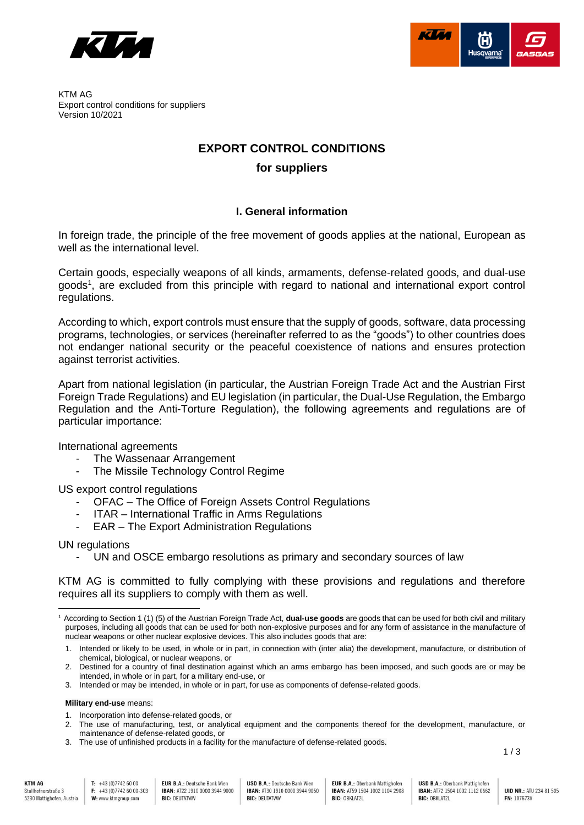



KTM AG Export control conditions for suppliers Version 10/2021

# **EXPORT CONTROL CONDITIONS**

## **for suppliers**

### **I. General information**

In foreign trade, the principle of the free movement of goods applies at the national, European as well as the international level.

Certain goods, especially weapons of all kinds, armaments, defense-related goods, and dual-use goods<sup>1</sup>, are excluded from this principle with regard to national and international export control regulations.

According to which, export controls must ensure that the supply of goods, software, data processing programs, technologies, or services (hereinafter referred to as the "goods") to other countries does not endanger national security or the peaceful coexistence of nations and ensures protection against terrorist activities.

Apart from national legislation (in particular, the Austrian Foreign Trade Act and the Austrian First Foreign Trade Regulations) and EU legislation (in particular, the Dual-Use Regulation, the Embargo Regulation and the Anti-Torture Regulation), the following agreements and regulations are of particular importance:

International agreements

- The Wassenaar Arrangement
- The Missile Technology Control Regime

US export control regulations

- OFAC The Office of Foreign Assets Control Regulations
- ITAR International Traffic in Arms Regulations
- EAR The Export Administration Regulations

UN regulations

UN and OSCE embargo resolutions as primary and secondary sources of law

KTM AG is committed to fully complying with these provisions and regulations and therefore requires all its suppliers to comply with them as well.

**Military end-use** means:

**EUR B.A.: Deutsche Bank Wien** IBAN: AT22 1910 0000 3944 9000 **BIC: DEUTATWW** 

**EUR B.A.: Oberbank Mattighofen** IBAN: AT59 1504 1002 1104 2908 **BIC: OBKLAT2L** 

1 / 3

<sup>1</sup> According to Section 1 (1) (5) of the Austrian Foreign Trade Act, **dual-use goods** are goods that can be used for both civil and military purposes, including all goods that can be used for both non-explosive purposes and for any form of assistance in the manufacture of nuclear weapons or other nuclear explosive devices. This also includes goods that are:

<sup>1.</sup> Intended or likely to be used, in whole or in part, in connection with (inter alia) the development, manufacture, or distribution of chemical, biological, or nuclear weapons, or

<sup>2.</sup> Destined for a country of final destination against which an arms embargo has been imposed, and such goods are or may be intended, in whole or in part, for a military end-use, or

<sup>3.</sup> Intended or may be intended, in whole or in part, for use as components of defense-related goods.

<sup>1.</sup> Incorporation into defense-related goods, or

<sup>2.</sup> The use of manufacturing, test, or analytical equipment and the components thereof for the development, manufacture, or maintenance of defense-related goods, or

<sup>3.</sup> The use of unfinished products in a facility for the manufacture of defense-related goods.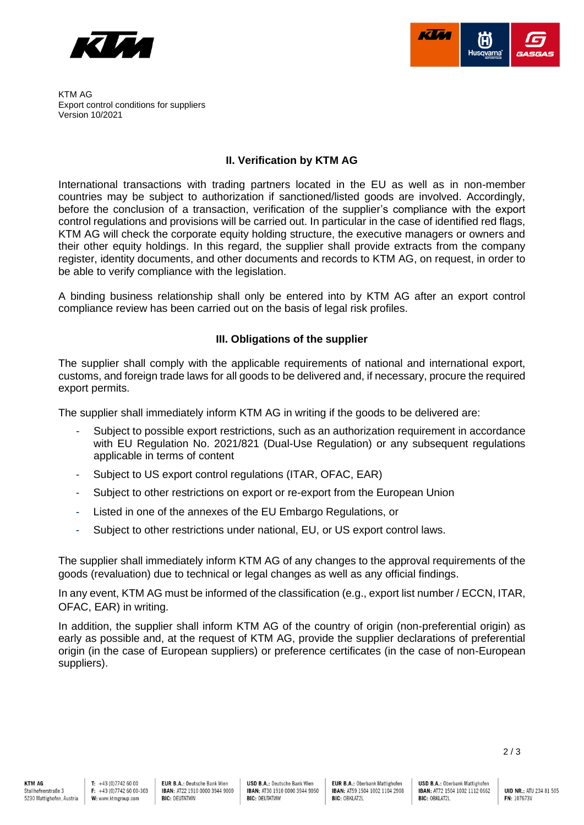



KTM AG Export control conditions for suppliers Version 10/2021

#### **II. Verification by KTM AG**

International transactions with trading partners located in the EU as well as in non-member countries may be subject to authorization if sanctioned/listed goods are involved. Accordingly, before the conclusion of a transaction, verification of the supplier's compliance with the export control regulations and provisions will be carried out. In particular in the case of identified red flags, KTM AG will check the corporate equity holding structure, the executive managers or owners and their other equity holdings. In this regard, the supplier shall provide extracts from the company register, identity documents, and other documents and records to KTM AG, on request, in order to be able to verify compliance with the legislation.

A binding business relationship shall only be entered into by KTM AG after an export control compliance review has been carried out on the basis of legal risk profiles.

### **III. Obligations of the supplier**

The supplier shall comply with the applicable requirements of national and international export, customs, and foreign trade laws for all goods to be delivered and, if necessary, procure the required export permits.

The supplier shall immediately inform KTM AG in writing if the goods to be delivered are:

- Subject to possible export restrictions, such as an authorization requirement in accordance with EU Regulation No. 2021/821 (Dual-Use Regulation) or any subsequent regulations applicable in terms of content
- Subject to US export control regulations (ITAR, OFAC, EAR)
- Subject to other restrictions on export or re-export from the European Union
- Listed in one of the annexes of the EU Embargo Regulations, or
- Subject to other restrictions under national, EU, or US export control laws.

The supplier shall immediately inform KTM AG of any changes to the approval requirements of the goods (revaluation) due to technical or legal changes as well as any official findings.

In any event, KTM AG must be informed of the classification (e.g., export list number / ECCN, ITAR, OFAC, EAR) in writing.

In addition, the supplier shall inform KTM AG of the country of origin (non-preferential origin) as early as possible and, at the request of KTM AG, provide the supplier declarations of preferential origin (in the case of European suppliers) or preference certificates (in the case of non-European suppliers).